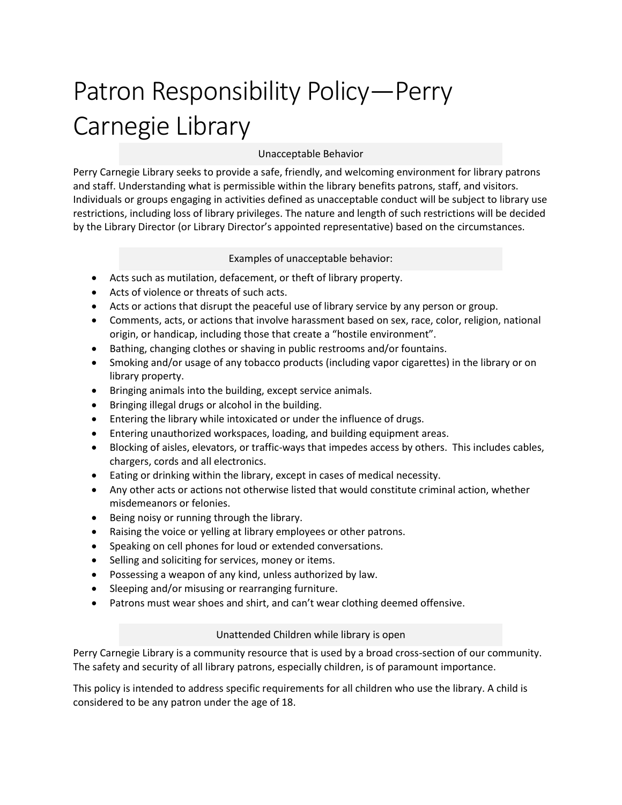# Patron Responsibility Policy—Perry Carnegie Library

## Unacceptable Behavior

Perry Carnegie Library seeks to provide a safe, friendly, and welcoming environment for library patrons and staff. Understanding what is permissible within the library benefits patrons, staff, and visitors. Individuals or groups engaging in activities defined as unacceptable conduct will be subject to library use restrictions, including loss of library privileges. The nature and length of such restrictions will be decided by the Library Director (or Library Director's appointed representative) based on the circumstances.

#### Examples of unacceptable behavior:

- Acts such as mutilation, defacement, or theft of library property.
- Acts of violence or threats of such acts.
- Acts or actions that disrupt the peaceful use of library service by any person or group.
- Comments, acts, or actions that involve harassment based on sex, race, color, religion, national origin, or handicap, including those that create a "hostile environment".
- Bathing, changing clothes or shaving in public restrooms and/or fountains.
- Smoking and/or usage of any tobacco products (including vapor cigarettes) in the library or on library property.
- Bringing animals into the building, except service animals.
- Bringing illegal drugs or alcohol in the building.
- Entering the library while intoxicated or under the influence of drugs.
- Entering unauthorized workspaces, loading, and building equipment areas.
- Blocking of aisles, elevators, or traffic-ways that impedes access by others. This includes cables, chargers, cords and all electronics.
- Eating or drinking within the library, except in cases of medical necessity.
- Any other acts or actions not otherwise listed that would constitute criminal action, whether misdemeanors or felonies.
- Being noisy or running through the library.
- Raising the voice or yelling at library employees or other patrons.
- Speaking on cell phones for loud or extended conversations.
- Selling and soliciting for services, money or items.
- Possessing a weapon of any kind, unless authorized by law.
- Sleeping and/or misusing or rearranging furniture.
- Patrons must wear shoes and shirt, and can't wear clothing deemed offensive.

## Unattended Children while library is open

Perry Carnegie Library is a community resource that is used by a broad cross-section of our community. The safety and security of all library patrons, especially children, is of paramount importance.

This policy is intended to address specific requirements for all children who use the library. A child is considered to be any patron under the age of 18.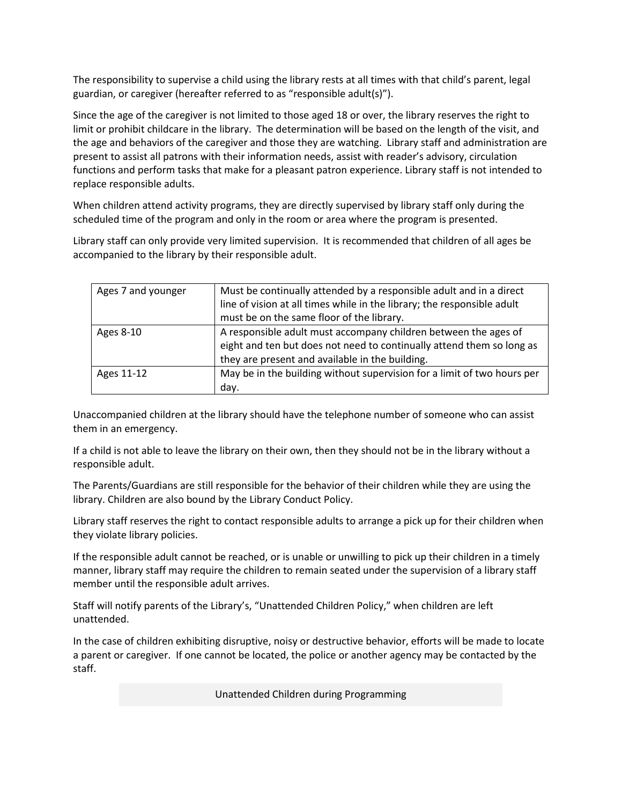The responsibility to supervise a child using the library rests at all times with that child's parent, legal guardian, or caregiver (hereafter referred to as "responsible adult(s)").

Since the age of the caregiver is not limited to those aged 18 or over, the library reserves the right to limit or prohibit childcare in the library. The determination will be based on the length of the visit, and the age and behaviors of the caregiver and those they are watching. Library staff and administration are present to assist all patrons with their information needs, assist with reader's advisory, circulation functions and perform tasks that make for a pleasant patron experience. Library staff is not intended to replace responsible adults.

When children attend activity programs, they are directly supervised by library staff only during the scheduled time of the program and only in the room or area where the program is presented.

Library staff can only provide very limited supervision. It is recommended that children of all ages be accompanied to the library by their responsible adult.

| Ages 7 and younger | Must be continually attended by a responsible adult and in a direct     |
|--------------------|-------------------------------------------------------------------------|
|                    | line of vision at all times while in the library; the responsible adult |
|                    | must be on the same floor of the library.                               |
| Ages 8-10          | A responsible adult must accompany children between the ages of         |
|                    | eight and ten but does not need to continually attend them so long as   |
|                    | they are present and available in the building.                         |
| Ages 11-12         | May be in the building without supervision for a limit of two hours per |
|                    | day.                                                                    |

Unaccompanied children at the library should have the telephone number of someone who can assist them in an emergency.

If a child is not able to leave the library on their own, then they should not be in the library without a responsible adult.

The Parents/Guardians are still responsible for the behavior of their children while they are using the library. Children are also bound by the Library Conduct Policy.

Library staff reserves the right to contact responsible adults to arrange a pick up for their children when they violate library policies.

If the responsible adult cannot be reached, or is unable or unwilling to pick up their children in a timely manner, library staff may require the children to remain seated under the supervision of a library staff member until the responsible adult arrives.

Staff will notify parents of the Library's, "Unattended Children Policy," when children are left unattended.

In the case of children exhibiting disruptive, noisy or destructive behavior, efforts will be made to locate a parent or caregiver. If one cannot be located, the police or another agency may be contacted by the staff.

Unattended Children during Programming